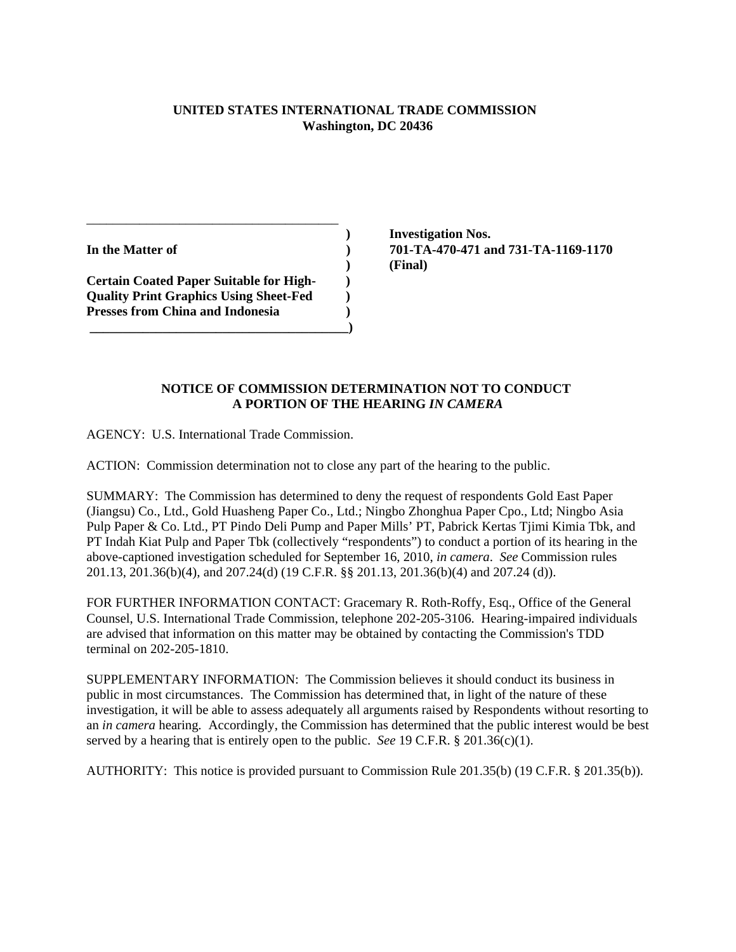## **UNITED STATES INTERNATIONAL TRADE COMMISSION Washington, DC 20436**

**Certain Coated Paper Suitable for High- ) Quality Print Graphics Using Sheet-Fed ) Presses from China and Indonesia** (a)  **\_\_\_\_\_\_\_\_\_\_\_\_\_\_\_\_\_\_\_\_\_\_\_\_\_\_\_\_\_\_\_\_\_\_\_\_\_\_\_)**

\_\_\_\_\_\_\_\_\_\_\_\_\_\_\_\_\_\_\_\_\_\_\_\_\_\_\_\_\_\_\_\_\_\_\_\_\_\_

 **) Investigation Nos. In the Matter of ) 701-TA-470-471 and 731-TA-1169-1170 ) (Final)**

## **NOTICE OF COMMISSION DETERMINATION NOT TO CONDUCT A PORTION OF THE HEARING** *IN CAMERA*

AGENCY: U.S. International Trade Commission.

ACTION: Commission determination not to close any part of the hearing to the public.

SUMMARY: The Commission has determined to deny the request of respondents Gold East Paper (Jiangsu) Co., Ltd., Gold Huasheng Paper Co., Ltd.; Ningbo Zhonghua Paper Cpo., Ltd; Ningbo Asia Pulp Paper & Co. Ltd., PT Pindo Deli Pump and Paper Mills' PT, Pabrick Kertas Tjimi Kimia Tbk, and PT Indah Kiat Pulp and Paper Tbk (collectively "respondents") to conduct a portion of its hearing in the above-captioned investigation scheduled for September 16, 2010, *in camera*. *See* Commission rules 201.13, 201.36(b)(4), and 207.24(d) (19 C.F.R. §§ 201.13, 201.36(b)(4) and 207.24 (d)).

FOR FURTHER INFORMATION CONTACT: Gracemary R. Roth-Roffy, Esq., Office of the General Counsel, U.S. International Trade Commission, telephone 202-205-3106. Hearing-impaired individuals are advised that information on this matter may be obtained by contacting the Commission's TDD terminal on 202-205-1810.

SUPPLEMENTARY INFORMATION: The Commission believes it should conduct its business in public in most circumstances. The Commission has determined that, in light of the nature of these investigation, it will be able to assess adequately all arguments raised by Respondents without resorting to an *in camera* hearing*.* Accordingly, the Commission has determined that the public interest would be best served by a hearing that is entirely open to the public. *See* 19 C.F.R. § 201.36(c)(1).

AUTHORITY: This notice is provided pursuant to Commission Rule 201.35(b) (19 C.F.R. § 201.35(b)).